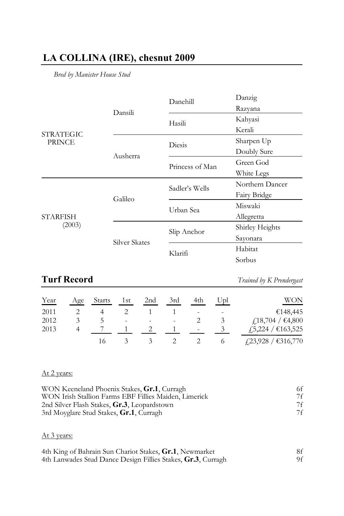## **LA COLLINA (IRE), chesnut 2009**

*Bred by Manister House Stud*

| Dansili       |                 | Danzig                                                                                |
|---------------|-----------------|---------------------------------------------------------------------------------------|
|               |                 | Razyana                                                                               |
|               |                 | Kahyasi                                                                               |
|               |                 | Kerali                                                                                |
| Ausherra      |                 | Sharpen Up                                                                            |
|               |                 | Doubly Sure                                                                           |
|               | Princess of Man | Green God                                                                             |
|               |                 | White Legs                                                                            |
| Galileo       |                 | Northern Dancer                                                                       |
|               |                 | Fairy Bridge                                                                          |
|               |                 | Miswaki                                                                               |
|               |                 | Allegretta                                                                            |
| Silver Skates |                 | Shirley Heights                                                                       |
|               |                 | Sayonara                                                                              |
|               |                 | Habitat                                                                               |
|               |                 | Sorbus                                                                                |
|               |                 | Danehill<br>Hasili<br>Diesis<br>Sadler's Wells<br>Urban Sea<br>Slip Anchor<br>Klarifi |

# **Turf Record** *Trained by K Prendergast*

| Year | Age | <b>Starts</b> | 1st | 2 <sub>nd</sub> | 3rd | 4th | Upl | WON                                   |
|------|-----|---------------|-----|-----------------|-----|-----|-----|---------------------------------------|
| 2011 |     |               |     |                 |     |     | ۰   | €148,445                              |
| 2012 |     |               |     | ۰               | ۰   |     |     | $\text{\textsterling}18,704$ / €4,800 |
| 2013 |     |               |     |                 |     | ۰   |     | £5,224 / €163,525                     |
|      |     |               |     |                 |     |     |     | $\{23,928 / \text{ } \in \}$ 316,770  |

## At 2 years:

| WON Keeneland Phoenix Stakes, Gr.1, Curragh           | 6f |
|-------------------------------------------------------|----|
| WON Irish Stallion Farms EBF Fillies Maiden, Limerick | 7f |
| 2nd Silver Flash Stakes, Gr.3, Leopardstown           | 7f |
| 3rd Moyglare Stud Stakes, Gr.1, Curragh               | 7f |

### At 3 years:

| 4th King of Bahrain Sun Chariot Stakes, Gr.1, Newmarket      |    |
|--------------------------------------------------------------|----|
| 4th Lanwades Stud Dance Design Fillies Stakes, Gr.3, Curragh | 9f |